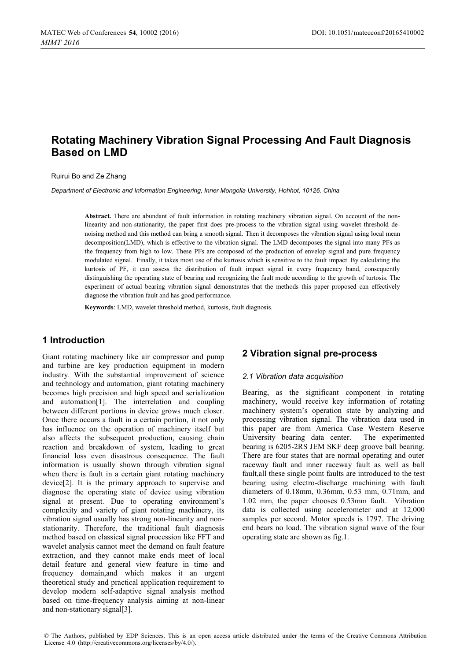# **Rotating Machinery Vibration Signal Processing And Fault Diagnosis Based on LMD**

#### Ruirui Bo and Ze Zhang

*Department of Electronic and Information Engineering, Inner Mongolia University, Hohhot, 10126, China* 

**Abstract.** There are abundant of fault information in rotating machinery vibration signal. On account of the nonlinearity and non-stationarity, the paper first does pre-process to the vibration signal using wavelet threshold denoising method and this method can bring a smooth signal. Then it decomposes the vibration signal using local mean decomposition(LMD), which is effective to the vibration signal. The LMD decomposes the signal into many PFs as the frequency from high to low. These PFs are composed of the production of envelop signal and pure frequency modulated signal. Finally, it takes most use of the kurtosis which is sensitive to the fault impact. By calculating the kurtosis of PF, it can assess the distribution of fault impact signal in every frequency band, consequently distinguishing the operating state of bearing and recognizing the fault mode according to the growth of turtosis. The experiment of actual bearing vibration signal demonstrates that the methods this paper proposed can effectively diagnose the vibration fault and has good performance.

**Keywords**: LMD, wavelet threshold method, kurtosis, fault diagnosis.

# **1 Introduction**

Giant rotating machinery like air compressor and pump and turbine are key production equipment in modern industry. With the substantial improvement of science and technology and automation, giant rotating machinery becomes high precision and high speed and serialization and automation[1]. The interrelation and coupling between different portions in device grows much closer. Once there occurs a fault in a certain portion, it not only has influence on the operation of machinery itself but also affects the subsequent production, causing chain reaction and breakdown of system, leading to great financial loss even disastrous consequence. The fault information is usually shown through vibration signal when there is fault in a certain giant rotating machinery device[2]. It is the primary approach to supervise and diagnose the operating state of device using vibration signal at present. Due to operating environment's complexity and variety of giant rotating machinery, its vibration signal usually has strong non-linearity and nonstationarity. Therefore, the traditional fault diagnosis method based on classical signal procession like FFT and wavelet analysis cannot meet the demand on fault feature extraction, and they cannot make ends meet of local detail feature and general view feature in time and frequency domain,and which makes it an urgent theoretical study and practical application requirement to develop modern self-adaptive signal analysis method based on time-frequency analysis aiming at non-linear and non-stationary signal[3].

# **2 Vibration signal pre-process**

#### *2.1 Vibration data acquisition*

Bearing, as the significant component in rotating machinery, would receive key information of rotating machinery system's operation state by analyzing and processing vibration signal. The vibration data used in this paper are from America Case Western Reserve University bearing data center. The experimented bearing is 6205-2RS JEM SKF deep groove ball bearing. There are four states that are normal operating and outer raceway fault and inner raceway fault as well as ball fault,all these single point faults are introduced to the test bearing using electro-discharge machining with fault diameters of 0.18mm, 0.36mm, 0.53 mm, 0.71mm, and 1.02 mm, the paper chooses 0.53mm fault. Vibration data is collected using accelerometer and at 12,000 samples per second. Motor speeds is 1797. The driving end bears no load. The vibration signal wave of the four operating state are shown as fig.1.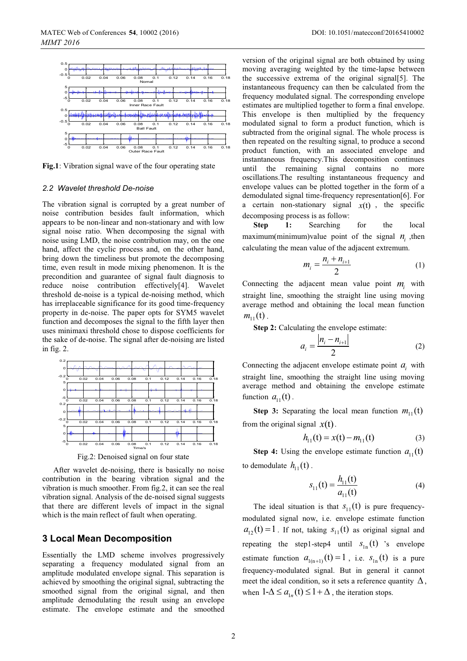

**Fig.1**: Vibration signal wave of the four operating state

#### *2.2 Wavelet threshold De-noise*

The vibration signal is corrupted by a great number of noise contribution besides fault information, which appears to be non-linear and non-stationary and with low signal noise ratio. When decomposing the signal with noise using LMD, the noise contribution may, on the one hand, affect the cyclic process and, on the other hand, bring down the timeliness but promote the decomposing time, even result in mode mixing phenomenon. It is the precondition and guarantee of signal fault diagnosis to reduce noise contribution effectively[4]. Wavelet threshold de-noise is a typical de-noising method, which has irreplaceable significance for its good time-frequency property in de-noise. The paper opts for SYM5 wavelet function and decomposes the signal to the fifth layer then uses minimaxi threshold chose to dispose coefficients for the sake of de-noise. The signal after de-noising are listed in fig. 2.



Fig.2: Denoised signal on four state

After wavelet de-noising, there is basically no noise contribution in the bearing vibration signal and the vibration is much smoother. From fig.2, it can see the real vibration signal. Analysis of the de-noised signal suggests that there are different levels of impact in the signal which is the main reflect of fault when operating.

## **3 Local Mean Decomposition**

Essentially the LMD scheme involves progressively separating a frequency modulated signal from an amplitude modulated envelope signal. This separation is achieved by smoothing the original signal, subtracting the smoothed signal from the original signal, and then amplitude demodulating the result using an envelope estimate. The envelope estimate and the smoothed

version of the original signal are both obtained by using moving averaging weighted by the time-lapse between the successive extrema of the original signal[5]. The instantaneous frequency can then be calculated from the frequency modulated signal. The corresponding envelope estimates are multiplied together to form a final envelope. This envelope is then multiplied by the frequency modulated signal to form a product function, which is subtracted from the original signal. The whole process is then repeated on the resulting signal, to produce a second product function, with an associated envelope and instantaneous frequency.This decomposition continues until the remaining signal contains no more oscillations.The resulting instantaneous frequency and

envelope values can be plotted together in the form of a demodulated signal time-frequency representation[6]. For a certain non-stationary signal  $x(t)$ , the specific decomposing process is as follow:

**Step 1:** Searching for the local maximum(minimum)value point of the signal  $n_i$ , then calculating the mean value of the adjacent extremum.

$$
m_i = \frac{n_i + n_{i+1}}{2} \tag{1}
$$

Connecting the adjacent mean value point  $m_i$  with straight line, smoothing the straight line using moving average method and obtaining the local mean function  $m_{11} (t)$ .

**Step 2:** Calculating the envelope estimate:

$$
a_i = \frac{|n_i - n_{i+1}|}{2} \tag{2}
$$

Connecting the adjacent envelope estimate point  $a_i$  with straight line, smoothing the straight line using moving average method and obtaining the envelope estimate function  $a_{11} (t)$ .

**Step 3:** Separating the local mean function  $m_{11}(t)$ from the original signal  $x(t)$ .

$$
h_{11}(t) = x(t) - m_{11}(t)
$$
 (3)

**Step 4:** Using the envelope estimate function  $a_{11}(t)$ to demodulate  $h_{11}(t)$ .

$$
s_{11}(t) = \frac{h_{11}(t)}{a_{11}(t)}
$$
 (4)

The ideal situation is that  $s_{11}(t)$  is pure frequencymodulated signal now, i.e. envelope estimate function  $a_{12} (t) = 1$ . If not, taking  $s_{11} (t)$  as original signal and repeating the step1-step4 until  $s_{1n} (t)$  's envelope estimate function  $a_{1(n+1)}(t) = 1$ , i.e.  $s_{1n}(t)$  is a pure frequency-modulated signal. But in general it cannot meet the ideal condition, so it sets a reference quantity  $\Delta$ , when  $1-\Delta \le a_{1n}(t) \le 1 + \Delta$ , the iteration stops.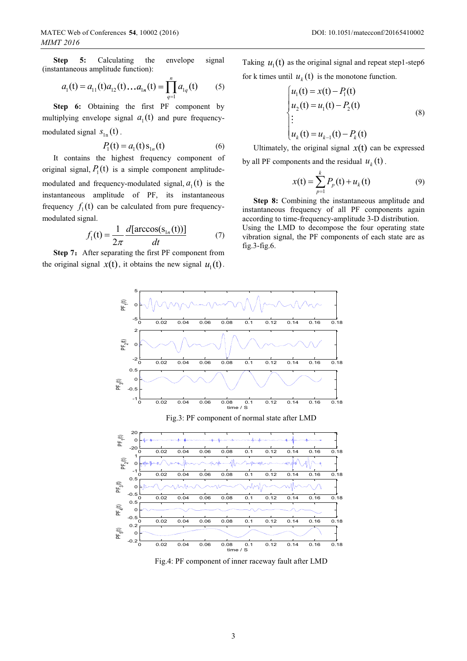**Step 5:** Calculating the envelope signal (instantaneous amplitude function):

$$
a_1(t) = a_{11}(t)a_{12}(t)...a_{1n}(t) = \prod_{q=1}^n a_{1q}(t) \qquad (5)
$$

**Step 6:** Obtaining the first PF component by multiplying envelope signal  $a_1(t)$  and pure frequencymodulated signal  $s_{1n} (t)$ .

$$
P_1(t) = a_1(t) s_{1n}(t)
$$
 (6)

It contains the highest frequency component of original signal,  $P_1(t)$  is a simple component amplitudemodulated and frequency-modulated signal,  $a_1(t)$  is the instantaneous amplitude of PF, its instantaneous frequency  $f_1(t)$  can be calculated from pure frequencymodulated signal.

$$
f_1(t) = \frac{1}{2\pi} \frac{d[\arccos(s_{1n}(t))]}{dt}
$$
 (7)

**Step 7:** After separating the first PF component from the original signal  $x(t)$ , it obtains the new signal  $u_1(t)$ .

Taking  $u_1(t)$  as the original signal and repeat step1-step6 for k times until  $u_k(t)$  is the monotone function.

$$
\begin{cases}\n u_1(t) = x(t) - P_1(t) \\
u_2(t) = u_1(t) - P_2(t) \\
\vdots \\
u_k(t) = u_{k-1}(t) - P_k(t)\n\end{cases}
$$
\n(8)

Ultimately, the original signal  $x(t)$  can be expressed by all PF components and the residual  $u_k(t)$ .

$$
x(t) = \sum_{k=0}^{k} P_p(t) + u_k(t)
$$
 (9)

**Step 8:** Combining the instantaneous amplitude and instantaneous frequency of all PF components again according to time-frequency-amplitude 3-D distribution. Using the LMD to decompose the four operating state vibration signal, the PF components of each state are as fig.3-fig.6.

 $\frac{1}{p-1}$ 



Fig.4: PF component of inner raceway fault after LMD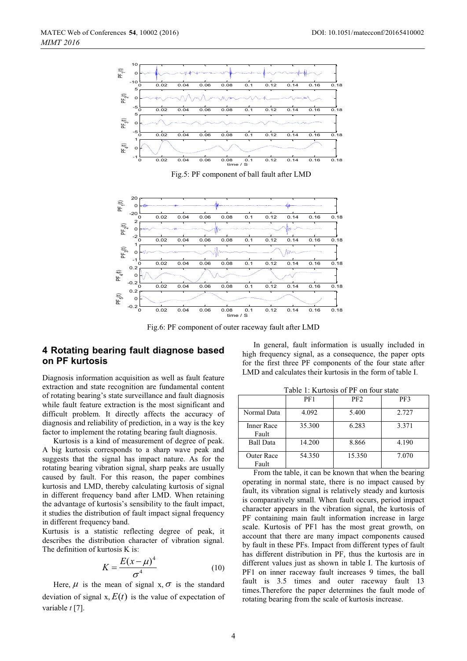

Fig.5: PF component of ball fault after LMD



Fig.6: PF component of outer raceway fault after LMD

# **4 Rotating bearing fault diagnose based on PF kurtosis**

Diagnosis information acquisition as well as fault feature extraction and state recognition are fundamental content of rotating bearing's state surveillance and fault diagnosis while fault feature extraction is the most significant and difficult problem. It directly affects the accuracy of diagnosis and reliability of prediction, in a way is the key factor to implement the rotating bearing fault diagnosis.

Kurtosis is a kind of measurement of degree of peak. A big kurtosis corresponds to a sharp wave peak and suggests that the signal has impact nature. As for the rotating bearing vibration signal, sharp peaks are usually caused by fault. For this reason, the paper combines kurtosis and LMD, thereby calculating kurtosis of signal in different frequency band after LMD. When retaining the advantage of kurtosis's sensibility to the fault impact, it studies the distribution of fault impact signal frequency in different frequency band.

Kurtusis is a statistic reflecting degree of peak, it describes the distribution character of vibration signal. The definition of kurtosis K is:

$$
K = \frac{E(x - \mu)^4}{\sigma^4} \tag{10}
$$

Here,  $\mu$  is the mean of signal x,  $\sigma$  is the standard deviation of signal x,  $E(t)$  is the value of expectation of variable *t* [7].

In general, fault information is usually included in high frequency signal, as a consequence, the paper opts for the first three PF components of the four state after LMD and calculates their kurtosis in the form of table I.

| 1 0010 11 11010010 01 1 1 011 1001 0000 |        |                 |       |
|-----------------------------------------|--------|-----------------|-------|
|                                         | PF1    | PF <sub>2</sub> | PF3   |
| Normal Data                             | 4.092  | 5.400           | 2.727 |
| Inner Race<br>Fault                     | 35.300 | 6.283           | 3.371 |
| <b>Ball Data</b>                        | 14.200 | 8.866           | 4.190 |
| <b>Outer Race</b><br>Fault              | 54.350 | 15.350          | 7.070 |

Table 1: Kurtosis of PF on four state

From the table, it can be known that when the bearing operating in normal state, there is no impact caused by fault, its vibration signal is relatively steady and kurtosis is comparatively small. When fault occurs, period impact character appears in the vibration signal, the kurtosis of PF containing main fault information increase in large scale. Kurtosis of PF1 has the most great growth, on account that there are many impact components caused by fault in these PFs. Impact from different types of fault has different distribution in PF, thus the kurtosis are in different values just as shown in table I. The kurtosis of PF1 on inner raceway fault increases 9 times, the ball fault is 3.5 times and outer raceway fault 13 times.Therefore the paper determines the fault mode of rotating bearing from the scale of kurtosis increase.